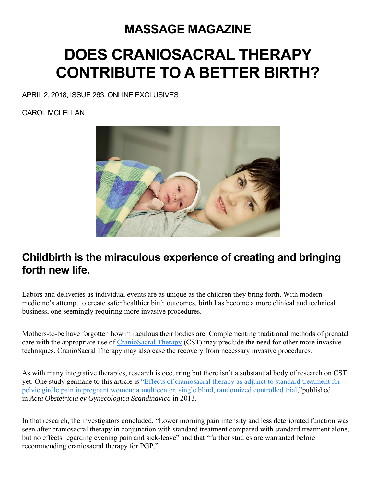### **MASSAGE MAGAZINE**

# **DOES CRANIOSACRAL THERAPY CONTRIBUTE TO A BETTER BIRTH?**

APRIL 2, 2018; ISSUE 263; ONLINE EXCLUSIVES

CAROL MCLELLAN



#### **Childbirth is the miraculous experience of creating and bringing forth new life.**

Labors and deliveries as individual events are as unique as the children they bring forth. With modern medicine's attempt to create safer healthier birth outcomes, birth has become a more clinical and technical business, one seemingly requiring more invasive procedures.

Mothers-to-be have forgotten how miraculous their bodies are. Complementing traditional methods of prenatal care with the appropriate use of CranioSacral Therapy (CST) may preclude the need for other more invasive techniques. CranioSacral Therapy may also ease the recovery from necessary invasive procedures.

As with many integrative therapies, research is occurring but there isn't a substantial body of research on CST yet. One study germane to this article is "Effects of craniosacral therapy as adjunct to standard treatment for pelvic girdle pain in pregnant women: a multicenter, single blind, randomized controlled trial,"published in *Acta Obstetricia ey Gynecologica Scandinavica* in 2013.

In that research, the investigators concluded, "Lower morning pain intensity and less deteriorated function was seen after craniosacral therapy in conjunction with standard treatment compared with standard treatment alone, but no effects regarding evening pain and sick-leave" and that "further studies are warranted before recommending craniosacral therapy for PGP."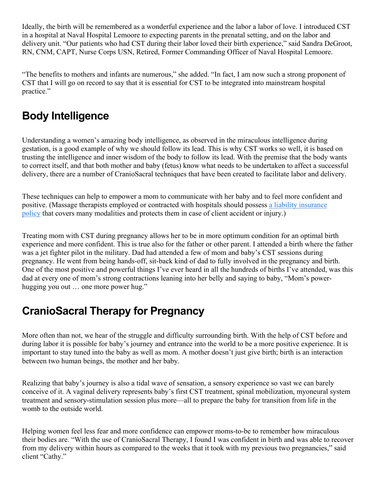Ideally, the birth will be remembered as a wonderful experience and the labor a labor of love. I introduced CST in a hospital at Naval Hospital Lemoore to expecting parents in the prenatal setting, and on the labor and delivery unit. "Our patients who had CST during their labor loved their birth experience," said Sandra DeGroot, RN, CNM, CAPT, Nurse Corps USN, Retired, Former Commanding Officer of Naval Hospital Lemoore.

"The benefits to mothers and infants are numerous," she added. "In fact, I am now such a strong proponent of CST that I will go on record to say that it is essential for CST to be integrated into mainstream hospital practice."

#### **Body Intelligence**

Understanding a women's amazing body intelligence, as observed in the miraculous intelligence during gestation, is a good example of why we should follow its lead. This is why CST works so well, it is based on trusting the intelligence and inner wisdom of the body to follow its lead. With the premise that the body wants to correct itself, and that both mother and baby (fetus) know what needs to be undertaken to affect a successful delivery, there are a number of CranioSacral techniques that have been created to facilitate labor and delivery.

These techniques can help to empower a mom to communicate with her baby and to feel more confident and positive. (Massage therapists employed or contracted with hospitals should possess a liability insurance policy that covers many modalities and protects them in case of client accident or injury.)

Treating mom with CST during pregnancy allows her to be in more optimum condition for an optimal birth experience and more confident. This is true also for the father or other parent. I attended a birth where the father was a jet fighter pilot in the military. Dad had attended a few of mom and baby's CST sessions during pregnancy. He went from being hands-off, sit-back kind of dad to fully involved in the pregnancy and birth. One of the most positive and powerful things I've ever heard in all the hundreds of births I've attended, was this dad at every one of mom's strong contractions leaning into her belly and saying to baby, "Mom's powerhugging you out … one more power hug."

#### **CranioSacral Therapy for Pregnancy**

More often than not, we hear of the struggle and difficulty surrounding birth. With the help of CST before and during labor it is possible for baby's journey and entrance into the world to be a more positive experience. It is important to stay tuned into the baby as well as mom. A mother doesn't just give birth; birth is an interaction between two human beings, the mother and her baby.

Realizing that baby's journey is also a tidal wave of sensation, a sensory experience so vast we can barely conceive of it. A vaginal delivery represents baby's first CST treatment, spinal mobilization, myoneural system treatment and sensory-stimulation session plus more—all to prepare the baby for transition from life in the womb to the outside world.

Helping women feel less fear and more confidence can empower moms-to-be to remember how miraculous their bodies are. "With the use of CranioSacral Therapy, I found I was confident in birth and was able to recover from my delivery within hours as compared to the weeks that it took with my previous two pregnancies," said client "Cathy."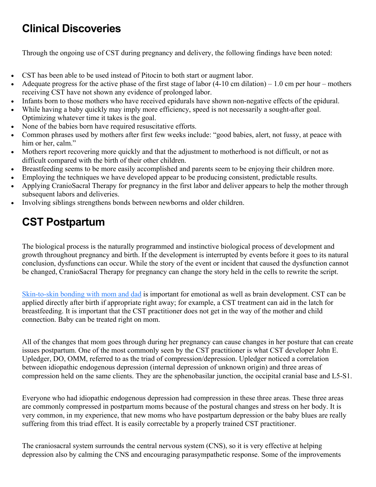### **Clinical Discoveries**

Through the ongoing use of CST during pregnancy and delivery, the following findings have been noted:

- CST has been able to be used instead of Pitocin to both start or augment labor.
- Adequate progress for the active phase of the first stage of labor (4-10 cm dilation) 1.0 cm per hour mothers receiving CST have not shown any evidence of prolonged labor.
- Infants born to those mothers who have received epidurals have shown non-negative effects of the epidural.
- While having a baby quickly may imply more efficiency, speed is not necessarily a sought-after goal. Optimizing whatever time it takes is the goal.
- None of the babies born have required resuscitative efforts.
- Common phrases used by mothers after first few weeks include: "good babies, alert, not fussy, at peace with him or her, calm."
- Mothers report recovering more quickly and that the adjustment to motherhood is not difficult, or not as difficult compared with the birth of their other children.
- Breastfeeding seems to be more easily accomplished and parents seem to be enjoying their children more.
- Employing the techniques we have developed appear to be producing consistent, predictable results.
- Applying CranioSacral Therapy for pregnancy in the first labor and deliver appears to help the mother through subsequent labors and deliveries.
- Involving siblings strengthens bonds between newborns and older children.

## **CST Postpartum**

The biological process is the naturally programmed and instinctive biological process of development and growth throughout pregnancy and birth. If the development is interrupted by events before it goes to its natural conclusion, dysfunctions can occur. While the story of the event or incident that caused the dysfunction cannot be changed, CranioSacral Therapy for pregnancy can change the story held in the cells to rewrite the script.

Skin-to-skin bonding with mom and dad is important for emotional as well as brain development. CST can be applied directly after birth if appropriate right away; for example, a CST treatment can aid in the latch for breastfeeding. It is important that the CST practitioner does not get in the way of the mother and child connection. Baby can be treated right on mom.

All of the changes that mom goes through during her pregnancy can cause changes in her posture that can create issues postpartum. One of the most commonly seen by the CST practitioner is what CST developer John E. Upledger, DO, OMM, referred to as the triad of compression/depression. Upledger noticed a correlation between idiopathic endogenous depression (internal depression of unknown origin) and three areas of compression held on the same clients. They are the sphenobasilar junction, the occipital cranial base and L5-S1.

Everyone who had idiopathic endogenous depression had compression in these three areas. These three areas are commonly compressed in postpartum moms because of the postural changes and stress on her body. It is very common, in my experience, that new moms who have postpartum depression or the baby blues are really suffering from this triad effect. It is easily correctable by a properly trained CST practitioner.

The craniosacral system surrounds the central nervous system (CNS), so it is very effective at helping depression also by calming the CNS and encouraging parasympathetic response. Some of the improvements